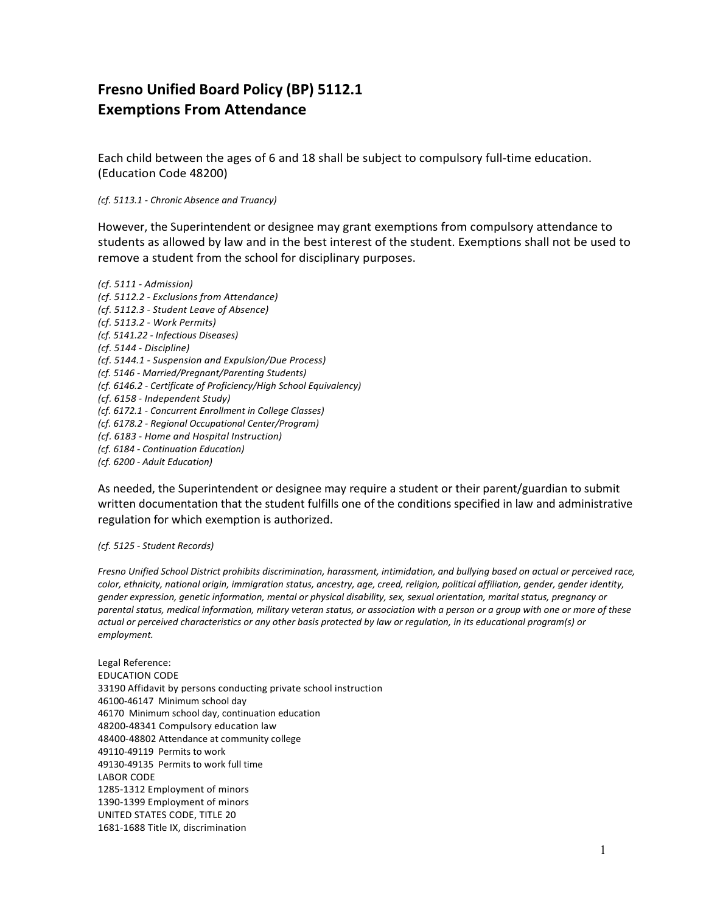## **Fresno Unified Board Policy (BP) 5112.1 Exemptions From Attendance**

Each child between the ages of 6 and 18 shall be subject to compulsory full-time education. (Education Code 48200)

*(cf. 5113.1 - Chronic Absence and Truancy)*

However, the Superintendent or designee may grant exemptions from compulsory attendance to students as allowed by law and in the best interest of the student. Exemptions shall not be used to remove a student from the school for disciplinary purposes.

*(cf. 5111 - Admission) (cf. 5112.2 - Exclusions from Attendance) (cf. 5112.3 - Student Leave of Absence) (cf. 5113.2 - Work Permits) (cf. 5141.22 - Infectious Diseases) (cf. 5144 - Discipline) (cf. 5144.1 - Suspension and Expulsion/Due Process) (cf. 5146 - Married/Pregnant/Parenting Students) (cf. 6146.2 - Certificate of Proficiency/High School Equivalency) (cf. 6158 - Independent Study) (cf. 6172.1 - Concurrent Enrollment in College Classes) (cf. 6178.2 - Regional Occupational Center/Program) (cf. 6183 - Home and Hospital Instruction) (cf. 6184 - Continuation Education) (cf. 6200 - Adult Education)*

As needed, the Superintendent or designee may require a student or their parent/guardian to submit written documentation that the student fulfills one of the conditions specified in law and administrative regulation for which exemption is authorized.

*(cf. 5125 - Student Records)*

*Fresno Unified School District prohibits discrimination, harassment, intimidation, and bullying based on actual or perceived race, color, ethnicity, national origin, immigration status, ancestry, age, creed, religion, political affiliation, gender, gender identity, gender expression, genetic information, mental or physical disability, sex, sexual orientation, marital status, pregnancy or parental status, medical information, military veteran status, or association with a person or a group with one or more of these actual or perceived characteristics or any other basis protected by law or regulation, in its educational program(s) or employment.*

Legal Reference: EDUCATION CODE 33190 Affidavit by persons conducting private school instruction 46100-46147 Minimum school day 46170 Minimum school day, continuation education 48200-48341 Compulsory education law 48400-48802 Attendance at community college 49110-49119 Permits to work 49130-49135 Permits to work full time LABOR CODE 1285-1312 Employment of minors 1390-1399 Employment of minors UNITED STATES CODE, TITLE 20 1681-1688 Title IX, discrimination